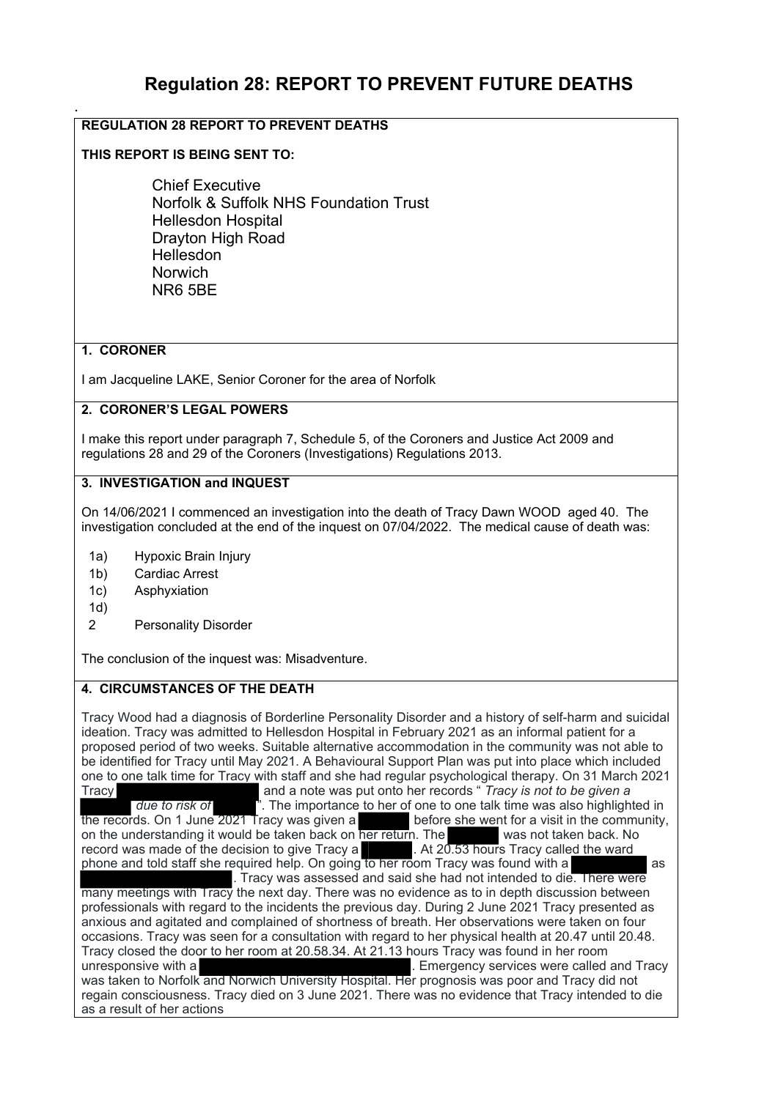# **Regulation 28: REPORT TO PREVENT FUTURE DEATHS**

## **REGULATION 28 REPORT TO PREVENT DEATHS**

#### **THIS REPORT IS BEING SENT TO:**

Chief Executive Norfolk & Suffolk NHS Foundation Trust Hellesdon Hospital Drayton High Road Hellesdon Norwich NR6 5BE

#### **1. CORONER**

.

I am Jacqueline LAKE, Senior Coroner for the area of Norfolk

#### **2. CORONER'S LEGAL POWERS**

I make this report under paragraph 7, Schedule 5, of the Coroners and Justice Act 2009 and regulations 28 and 29 of the Coroners (Investigations) Regulations 2013.

### **3. INVESTIGATION and INQUEST**

On 14/06/2021 I commenced an investigation into the death of Tracy Dawn WOOD aged 40. The investigation concluded at the end of the inquest on 07/04/2022. The medical cause of death was:

- 1a) Hypoxic Brain Injury
- 1b) Cardiac Arrest
- 1c) Asphyxiation
- 1d)
- 2 Personality Disorder

The conclusion of the inquest was: Misadventure.

#### **4. CIRCUMSTANCES OF THE DEATH**

Tracy Wood had a diagnosis of Borderline Personality Disorder and a history of self-harm and suicidal ideation. Tracy was admitted to Hellesdon Hospital in February 2021 as an informal patient for a proposed period of two weeks. Suitable alternative accommodation in the community was not able to be identified for Tracy until May 2021. A Behavioural Support Plan was put into place which included one to one talk time for Tracy with staff and she had regular psychological therapy. On 31 March 2021 and a note was put onto her records " *Tracy is not to be given a due to risk of* ". The importance to her of one to one talk time was also highlighted in the records. On 1 June 2021 Tracy was given a before she went for a visit in the community, on the understanding it would be taken back on her return. The was not taken back. No record was made of the decision to give Tracy a **.** At 20.53 hours Tracy called the ward phone and told staff she required help. On going to her room Tracy was found with a **comparent and the state** as . Tracy was assessed and said she had not intended to die. There were many meetings with Tracy the next day. There was no evidence as to in depth discussion between professionals with regard to the incidents the previous day. During 2 June 2021 Tracy presented as anxious and agitated and complained of shortness of breath. Her observations were taken on four occasions. Tracy was seen for a consultation with regard to her physical health at 20.47 until 20.48. Tracy closed the door to her room at 20.58.34. At 21.13 hours Tracy was found in her room unresponsive with a . Emergency services were called and Tracy was taken to Norfolk and Norwich University Hospital. Her prognosis was poor and Tracy did not regain consciousness. Tracy died on 3 June 2021. There was no evidence that Tracy intended to die as a result of her actions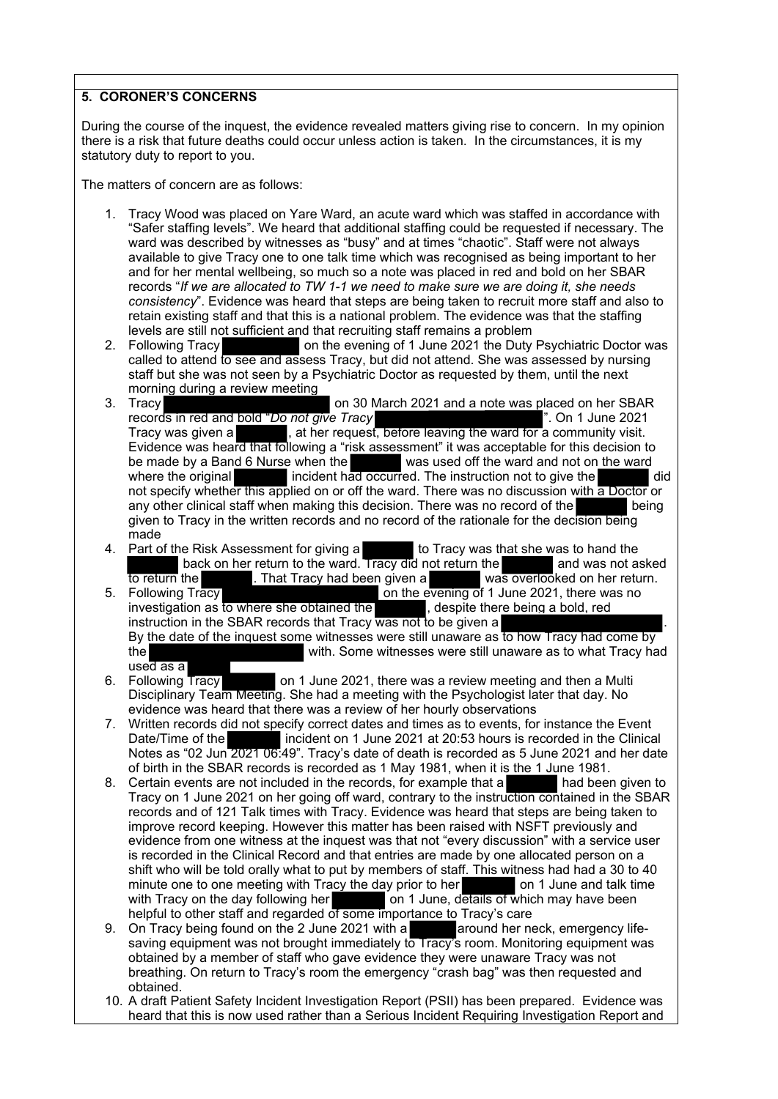#### **5. CORONER'S CONCERNS**

During the course of the inquest, the evidence revealed matters giving rise to concern. In my opinion there is a risk that future deaths could occur unless action is taken. In the circumstances, it is my statutory duty to report to you.

The matters of concern are as follows:

- 1. Tracy Wood was placed on Yare Ward, an acute ward which was staffed in accordance with "Safer staffing levels". We heard that additional staffing could be requested if necessary. The ward was described by witnesses as "busy" and at times "chaotic". Staff were not always available to give Tracy one to one talk time which was recognised as being important to her and for her mental wellbeing, so much so a note was placed in red and bold on her SBAR records "*If we are allocated to TW 1-1 we need to make sure we are doing it, she needs consistency*". Evidence was heard that steps are being taken to recruit more staff and also to retain existing staff and that this is a national problem. The evidence was that the staffing levels are still not sufficient and that recruiting staff remains a problem
- 2. Following Tracy **Constructed Tracy** on the evening of 1 June 2021 the Duty Psychiatric Doctor was called to attend to see and assess Tracy, but did not attend. She was assessed by nursing staff but she was not seen by a Psychiatric Doctor as requested by them, until the next morning during a review meeting
- 3. Tracy on 30 March 2021 and a note was placed on her SBAR records in red and bold "*Do not give Tracy* ". On 1 June 2021 Tracy was given a  $\hspace{1cm}$ , at her request, before leaving the ward for a community visit. Evidence was heard that following a "risk assessment" it was acceptable for this decision to be made by a Band 6 Nurse when the was used off the ward and not on the ward where the original incident had occurred. The instruction not to give the did not specify whether this applied on or off the ward. There was no discussion with a Doctor or any other clinical staff when making this decision. There was no record of the being given to Tracy in the written records and no record of the rationale for the decision being made
- 4. Part of the Risk Assessment for giving a to Tracy was that she was to hand the back on her return to the ward. Tracy did not return the and was not asked to return the back on her return to the ward. Tracy did not return the **the state of the state of the state of the state of the evening of 1** June 2021, there was no **black** on the evening of 1 June 2021, there was no
- on the evening of 1 June 2021, there was no investigation as to where she obtained the  $\qquad \qquad ,$  despite there being a bold, red instruction in the SBAR records that Tracy  $\overline{\text{was not to be given a}}$  . By the date of the inquest some witnesses were still unaware as to how Tracy had come by the with. Some witnesses were still unaware as to what Tracy had used as a<br>6. Following Tracy
- on 1 June 2021, there was a review meeting and then a Multi Disciplinary Team Meeting. She had a meeting with the Psychologist later that day. No evidence was heard that there was a review of her hourly observations
- 7. Written records did not specify correct dates and times as to events, for instance the Event Date/Time of the incident on 1 June 2021 at 20:53 hours is recorded in the Clinical Notes as "02 Jun 2021 06:49". Tracy's date of death is recorded as 5 June 2021 and her date of birth in the SBAR records is recorded as 1 May 1981, when it is the 1 June 1981.
- 8. Certain events are not included in the records, for example that a had been given to Tracy on 1 June 2021 on her going off ward, contrary to the instruction contained in the SBAR records and of 121 Talk times with Tracy. Evidence was heard that steps are being taken to improve record keeping. However this matter has been raised with NSFT previously and evidence from one witness at the inquest was that not "every discussion" with a service user is recorded in the Clinical Record and that entries are made by one allocated person on a shift who will be told orally what to put by members of staff. This witness had had a 30 to 40 minute one to one meeting with Tracy the day prior to her on 1 June and talk time<br>with Tracy on the day following her on 1 June, details of which may have been on 1 June, details of which may have been helpful to other staff and regarded of some importance to Tracy's care
- 9. On Tracy being found on the 2 June 2021 with a around her neck, emergency lifesaving equipment was not brought immediately to Tracy's room. Monitoring equipment was obtained by a member of staff who gave evidence they were unaware Tracy was not breathing. On return to Tracy's room the emergency "crash bag" was then requested and obtained.
- 10. A draft Patient Safety Incident Investigation Report (PSII) has been prepared. Evidence was heard that this is now used rather than a Serious Incident Requiring Investigation Report and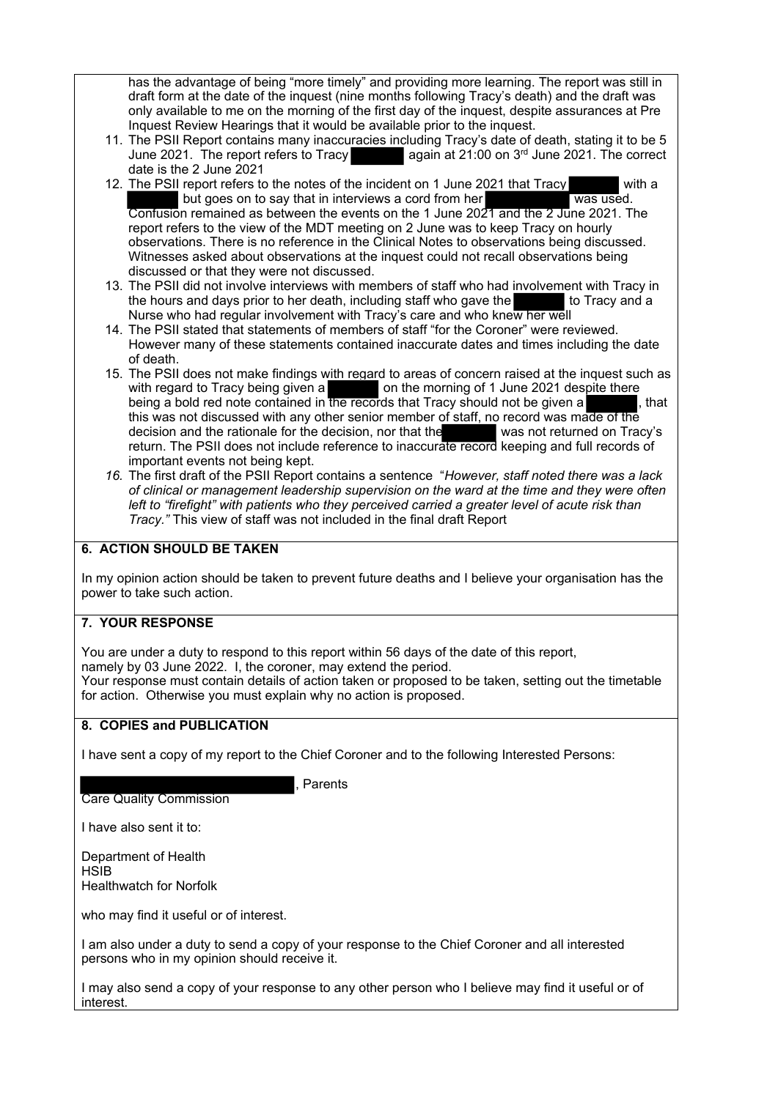has the advantage of being "more timely" and providing more learning. The report was still in draft form at the date of the inquest (nine months following Tracy's death) and the draft was only available to me on the morning of the first day of the inquest, despite assurances at Pre Inquest Review Hearings that it would be available prior to the inquest.

- 11. The PSII Report contains many inaccuracies including Tracy's date of death, stating it to be 5<br>June 2021. The report refers to Tracy again at 21:00 on 3<sup>rd</sup> June 2021. The correct  $\vert$  again at 21:00 on 3<sup>rd</sup> June 2021. The correct date is the 2 June 2021
- 12. The PSII report refers to the notes of the incident on 1 June 2021 that Tracy with a but goes on to say that in interviews a cord from her was used. Confusion remained as between the events on the 1 June 2021 and the 2 June 2021. The report refers to the view of the MDT meeting on 2 June was to keep Tracy on hourly observations. There is no reference in the Clinical Notes to observations being discussed. Witnesses asked about observations at the inquest could not recall observations being discussed or that they were not discussed.
- 13. The PSII did not involve interviews with members of staff who had involvement with Tracy in the hours and days prior to her death, including staff who gave the the hours and days prior to her death, including staff who gave the Nurse who had regular involvement with Tracy's care and who knew her well
- 14. The PSII stated that statements of members of staff "for the Coroner" were reviewed. However many of these statements contained inaccurate dates and times including the date of death.
- 15. The PSII does not make findings with regard to areas of concern raised at the inquest such as with regard to Tracy being given a on the morning of 1 June 2021 despite there with regard to Tracy being given a **come the morning of 1** June 2021 despite there being a bold red note contained in the records that Tracy should not be given a  $\qquad \qquad ,$  that this was not discussed with any other senior member of staff, no record was made of the decision and the rationale for the decision, nor that the was not returned on Tracy's return. The PSII does not include reference to inaccurate record keeping and full records of important events not being kept.
- *16.* The first draft of the PSII Report contains a sentence "*However, staff noted there was a lack of clinical or management leadership supervision on the ward at the time and they were often left to "firefight" with patients who they perceived carried a greater level of acute risk than Tracy."* This view of staff was not included in the final draft Report

### **6. ACTION SHOULD BE TAKEN**

In my opinion action should be taken to prevent future deaths and I believe your organisation has the power to take such action.

## **7. YOUR RESPONSE**

You are under a duty to respond to this report within 56 days of the date of this report, namely by 03 June 2022. I, the coroner, may extend the period. Your response must contain details of action taken or proposed to be taken, setting out the timetable for action. Otherwise you must explain why no action is proposed.

#### **8. COPIES and PUBLICATION**

I have sent a copy of my report to the Chief Coroner and to the following Interested Persons:

**Parents** 

Care Quality Commission

I have also sent it to:

Department of Health **HSIB** Healthwatch for Norfolk

who may find it useful or of interest.

I am also under a duty to send a copy of your response to the Chief Coroner and all interested persons who in my opinion should receive it.

I may also send a copy of your response to any other person who I believe may find it useful or of interest.